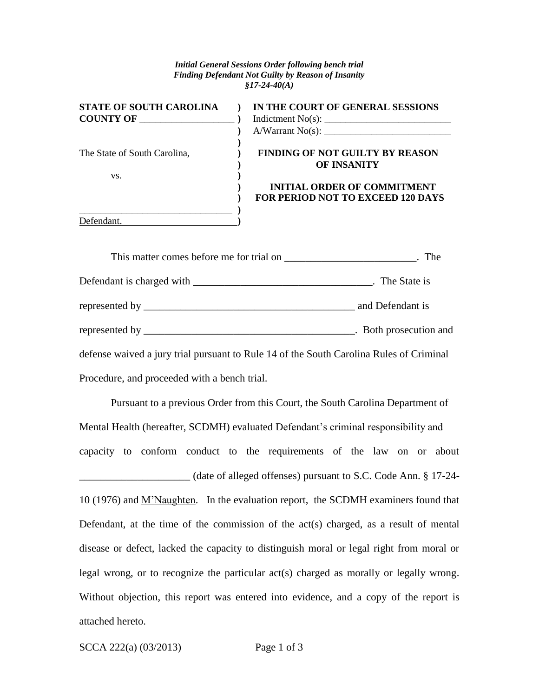## *Initial General Sessions Order following bench trial Finding Defendant Not Guilty by Reason of Insanity §17-24-40(A)*

| <b>STATE OF SOUTH CAROLINA</b> | IN THE COURT OF GENERAL SESSIONS                                               |
|--------------------------------|--------------------------------------------------------------------------------|
| <b>COUNTY OF</b>               | Indictment $No(s)$ :                                                           |
|                                | $A/Warrant No(s)$ :                                                            |
| The State of South Carolina,   | <b>FINDING OF NOT GUILTY BY REASON</b><br><b>OF INSANITY</b>                   |
| VS.                            | <b>INITIAL ORDER OF COMMITMENT</b><br><b>FOR PERIOD NOT TO EXCEED 120 DAYS</b> |
| endant                         |                                                                                |

| This matter comes before me for trial on __________________________. The                |  |
|-----------------------------------------------------------------------------------------|--|
|                                                                                         |  |
|                                                                                         |  |
|                                                                                         |  |
| defense waived a jury trial pursuant to Rule 14 of the South Carolina Rules of Criminal |  |
| Procedure, and proceeded with a bench trial.                                            |  |

Pursuant to a previous Order from this Court, the South Carolina Department of Mental Health (hereafter, SCDMH) evaluated Defendant's criminal responsibility and capacity to conform conduct to the requirements of the law on or about \_\_\_\_\_\_\_\_\_\_\_\_\_\_\_\_\_\_\_\_\_ (date of alleged offenses) pursuant to S.C. Code Ann. § 17-24-

10 (1976) and M'Naughten. In the evaluation report, the SCDMH examiners found that Defendant, at the time of the commission of the act(s) charged, as a result of mental disease or defect, lacked the capacity to distinguish moral or legal right from moral or legal wrong, or to recognize the particular act(s) charged as morally or legally wrong. Without objection, this report was entered into evidence, and a copy of the report is attached hereto.

SCCA 222(a) (03/2013) Page 1 of 3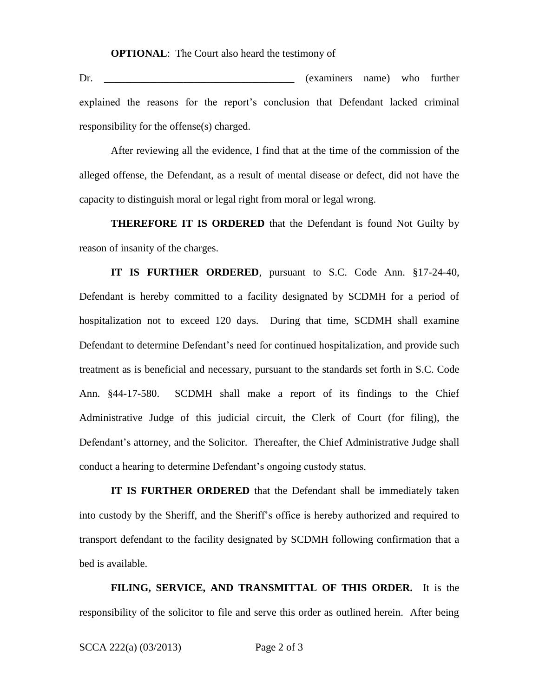Dr. **Dr. Examiners** name) who further explained the reasons for the report's conclusion that Defendant lacked criminal responsibility for the offense(s) charged.

After reviewing all the evidence, I find that at the time of the commission of the alleged offense, the Defendant, as a result of mental disease or defect, did not have the capacity to distinguish moral or legal right from moral or legal wrong.

**THEREFORE IT IS ORDERED** that the Defendant is found Not Guilty by reason of insanity of the charges.

**IT IS FURTHER ORDERED**, pursuant to S.C. Code Ann. §17-24-40, Defendant is hereby committed to a facility designated by SCDMH for a period of hospitalization not to exceed 120 days. During that time, SCDMH shall examine Defendant to determine Defendant's need for continued hospitalization, and provide such treatment as is beneficial and necessary, pursuant to the standards set forth in S.C. Code Ann. §44-17-580. SCDMH shall make a report of its findings to the Chief Administrative Judge of this judicial circuit, the Clerk of Court (for filing), the Defendant's attorney, and the Solicitor. Thereafter, the Chief Administrative Judge shall conduct a hearing to determine Defendant's ongoing custody status.

**IT IS FURTHER ORDERED** that the Defendant shall be immediately taken into custody by the Sheriff, and the Sheriff's office is hereby authorized and required to transport defendant to the facility designated by SCDMH following confirmation that a bed is available.

**FILING, SERVICE, AND TRANSMITTAL OF THIS ORDER.** It is the responsibility of the solicitor to file and serve this order as outlined herein. After being